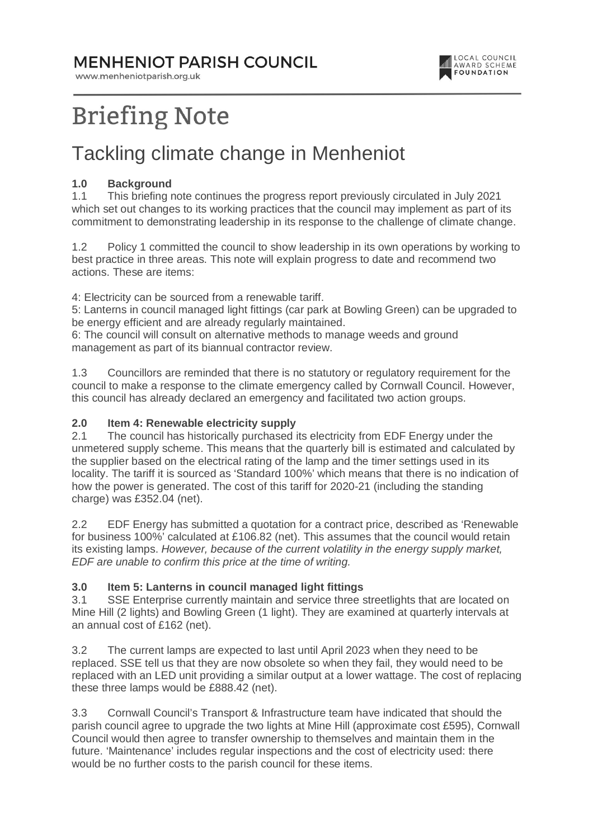### **MENHENIOT PARISH COUNCIL**

www.menheniotparish.org.uk



# **Briefing Note**

## Tackling climate change in Menheniot

#### **1.0 Background**

1.1 This briefing note continues the progress report previously circulated in July 2021 which set out changes to its working practices that the council may implement as part of its commitment to demonstrating leadership in its response to the challenge of climate change.

1.2 Policy 1 committed the council to show leadership in its own operations by working to best practice in three areas. This note will explain progress to date and recommend two actions. These are items:

4: Electricity can be sourced from a renewable tariff.

5: Lanterns in council managed light fittings (car park at Bowling Green) can be upgraded to be energy efficient and are already regularly maintained.

6: The council will consult on alternative methods to manage weeds and ground management as part of its biannual contractor review.

1.3 Councillors are reminded that there is no statutory or regulatory requirement for the council to make a response to the climate emergency called by Cornwall Council. However, this council has already declared an emergency and facilitated two action groups.

#### **2.0 Item 4: Renewable electricity supply**

2.1 The council has historically purchased its electricity from EDF Energy under the unmetered supply scheme. This means that the quarterly bill is estimated and calculated by the supplier based on the electrical rating of the lamp and the timer settings used in its locality. The tariff it is sourced as 'Standard 100%' which means that there is no indication of how the power is generated. The cost of this tariff for 2020-21 (including the standing charge) was £352.04 (net).

2.2 EDF Energy has submitted a quotation for a contract price, described as 'Renewable for business 100%' calculated at £106.82 (net). This assumes that the council would retain its existing lamps. However, because of the current volatility in the energy supply market, EDF are unable to confirm this price at the time of writing.

#### **3.0 Item 5: Lanterns in council managed light fittings**

3.1 SSE Enterprise currently maintain and service three streetlights that are located on Mine Hill (2 lights) and Bowling Green (1 light). They are examined at quarterly intervals at an annual cost of £162 (net).

3.2 The current lamps are expected to last until April 2023 when they need to be replaced. SSE tell us that they are now obsolete so when they fail, they would need to be replaced with an LED unit providing a similar output at a lower wattage. The cost of replacing these three lamps would be £888.42 (net).

3.3 Cornwall Council's Transport & Infrastructure team have indicated that should the parish council agree to upgrade the two lights at Mine Hill (approximate cost £595), Cornwall Council would then agree to transfer ownership to themselves and maintain them in the future. 'Maintenance' includes regular inspections and the cost of electricity used: there would be no further costs to the parish council for these items.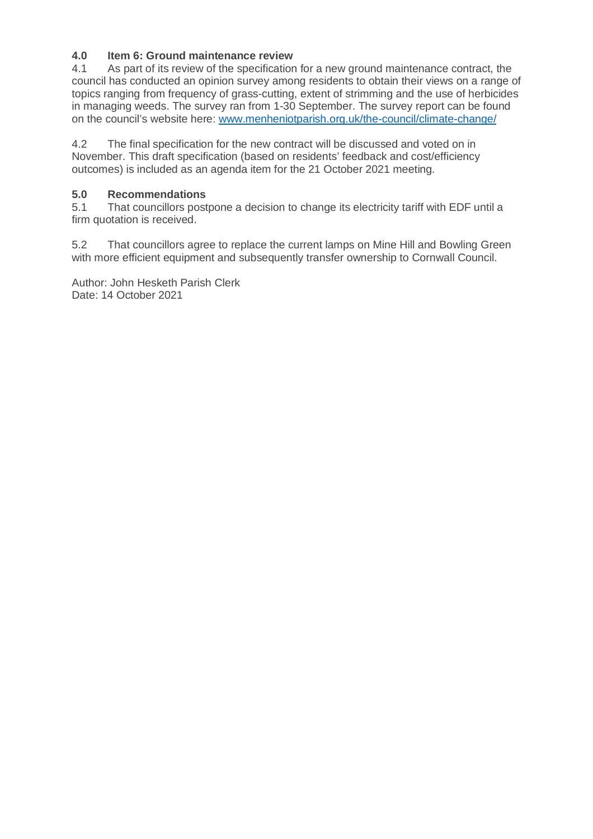#### **4.0 Item 6: Ground maintenance review**

4.1 As part of its review of the specification for a new ground maintenance contract, the council has conducted an opinion survey among residents to obtain their views on a range of topics ranging from frequency of grass-cutting, extent of strimming and the use of herbicides in managing weeds. The survey ran from 1-30 September. The survey report can be found on the council's website here: www.menheniotparish.org.uk/the-council/climate-change/

4.2 The final specification for the new contract will be discussed and voted on in November. This draft specification (based on residents' feedback and cost/efficiency outcomes) is included as an agenda item for the 21 October 2021 meeting.

#### **5.0 Recommendations**

5.1 That councillors postpone a decision to change its electricity tariff with EDF until a firm quotation is received.

5.2 That councillors agree to replace the current lamps on Mine Hill and Bowling Green with more efficient equipment and subsequently transfer ownership to Cornwall Council.

Author: John Hesketh Parish Clerk Date: 14 October 2021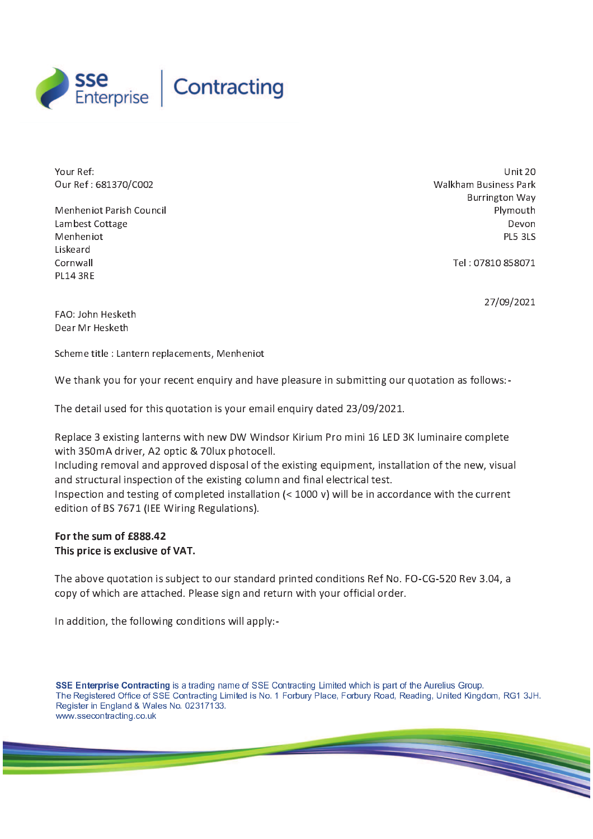

Your Ref: <sup>O</sup> <sup>u</sup> <sup>r</sup> <sup>R</sup> <sup>e</sup> <sup>f</sup> : <sup>6</sup> <sup>8</sup> <sup>1</sup> <sup>3</sup> <sup>7</sup> 0 / <sup>C</sup> <sup>0</sup> <sup>0</sup> <sup>2</sup>

Menheniot Parish Council Lambest Cottage Menheniot Liske ar d Cornwall **PL14 3RE** 

 $Unit 20$ Walkham Business Park Burrington Way Plymouth Devon **PL5 3LS** 

Tel: 07810 858071

27/09/2021

FAO: John Hesketh Dear Mr Hesketh

Scheme title : Lantern replacements, Menheniot

We thank you for your recent enquiry and have pleasure in submitting our quotation as follows:-

The detail used for this quotation is your email enquiry dated 23/09/2021.

Replace 3 existing lanterns with new DW Windsor Kirium Pro mini 16 LED 3K luminaire complete with 350 m A driver, A2 optic & 70 lux photocell.

Including removal and approved disposal of the existing equipment, installation of the new, visual and structural inspection of the existing column and final electrical test.

Inspection and testing of completed installation  $\left\langle \langle 1000 \rangle v \right\rangle$  will be in accordance with the current edition of BS 7671 (IEE Wiring Regulations).

#### For the sum of £888.42 This price is exclusive of VAT.

The above quotation is subject to our standard printed conditions Ref No. FO-CG-520 Rev 3.04, a copy of which are attached. Please sign and return with your official order.

In addition, the following conditions will apply:-

SSE Enterprise Contracting is a trading name of SSE Contracting Limited which is part of the Aurelius Group. The Registered Office of SSE Contracting Limited is No. 1 Forbury Place, Forbury Road, Reading, United Kingdom, RG1 3JH. Register in England & Wales No. 02317133. www.ssecontracting.co.uk